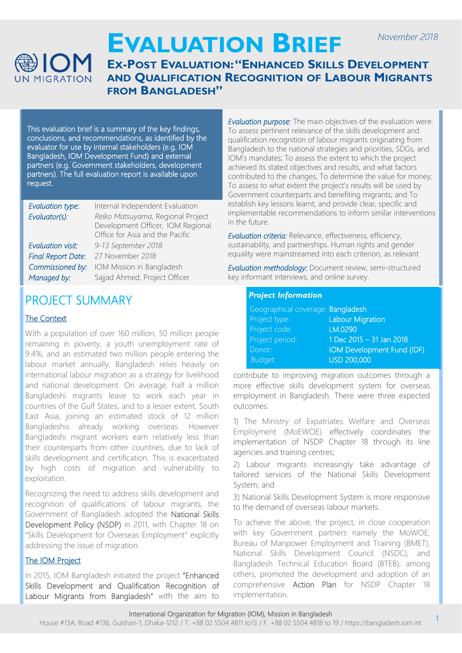

# **EVALUATION BRIEF**

### **EX-POST EVALUATION: "ENHANCED SKILLS DEVELOPMENT AND QUALIFICATION RECOGNITION OF LABOUR MIGRANTS FROM BANGLADESH"**

This evaluation brief is a summary of the key findings, conclusions, and recommendations, as identified by the evaluator for use by internal stakeholders (e.g. IOM Bangladesh, IOM Development Fund) and external partners (e.g. Government stakeholders, development partners). The full evaluation report is available upon request.

| Evaluation type:          | Internal Independent Evaluation                                                                           |
|---------------------------|-----------------------------------------------------------------------------------------------------------|
| Evaluator(s):             | Reiko Matsuyama, Regional Project<br>Development Officer, IOM Regional<br>Office for Asia and the Pacific |
| <b>Evaluation visit:</b>  | 9-13 September 2018                                                                                       |
| <b>Final Report Date:</b> | 27 November 2018                                                                                          |
| Commissioned by:          | IOM Mission in Bangladesh                                                                                 |
| Managed by:               | Sajjad Ahmed, Project Officer                                                                             |

## PROJECT SUMMARY

#### The Context

With a population of over 160 million, 50 million people remaining in poverty, a youth unemployment rate of 9.4%, and an estimated two million people entering the labour market annually, Bangladesh relies heavily on international labour migration as a strategy for livelihood and national development. On average, half a million Bangladeshi migrants leave to work each year in countries of the Gulf States, and to a lesser extent, South East Asia, joining an estimated stock of 12 million Bangladeshis already working overseas. However Bangladeshi migrant workers earn relatively less than their counterparts from other countries, due to lack of skills development and certification. This is exacerbated by high costs of migration and vulnerability to exploitation.

Recognizing the need to address skills development and recognition of qualifications of labour migrants, the Government of Bangladesh adopted the National Skills Development Policy (NSDP) in 2011, with Chapter 18 on "Skills Development for Overseas Employment" explicitly addressing the issue of migration.

#### The IOM Project

In 2015, IOM Bangladesh initiated the project "Enhanced Skills Development and Qualification Recognition of Labour Migrants from Bangladesh" with the aim to

*Evaluation purpose:* The main objectives of the evaluation were: To assess pertinent relevance of the skills development and qualification recognition of labour migrants originating from Bangladesh to the national strategies and priorities, SDGs, and IOM's mandates; To assess the extent to which the project achieved its stated objectives and results, and what factors contributed to the changes; To determine the value for money; To assess to what extent the project's results will be used by Government counterparts and benefiting migrants; and To establish key lessons learnt, and provide clear, specific and implementable recommendations to inform similar interventions in the future.

*November 2018*

*Evaluation criteria:* Relevance, effectiveness, efficiency, sustainability, and partnerships. Human rights and gender equality were mainstreamed into each criterion, as relevant

*Evaluation methodology:* Document review, semi-structured key informant interviews, and online survey.

#### *Project Information*

| Geographical coverage: Bangladesh |                            |
|-----------------------------------|----------------------------|
| Project type:                     | <b>Labour Migration</b>    |
| Project code:                     | LM.0290                    |
| Project period:                   | 1 Dec 2015 - 31 Jan 2018   |
| Donor:                            | IOM Development Fund (IDF) |
| Budget:                           | <b>USD 200,000</b>         |

contribute to improving migration outcomes through a more effective skills development system for overseas employment in Bangladesh. There were three expected outcomes:

1) The Ministry of Expatriates Welfare and Overseas Employment (MoEWOE) effectively coordinates the implementation of NSDP Chapter 18 through its line agencies and training centres;

2) Labour migrants increasingly take advantage of tailored services of the National Skills Development System; and

3) National Skills Development System is more responsive to the demand of overseas labour markets.

To achieve the above, the project, in close cooperation with key Government partners namely the MoWOE, Bureau of Manpower Employment and Training (BMET), National Skills Development Council (NSDC), and Bangladesh Technical Education Board (BTEB), among others, promoted the development and adoption of an comprehensive Action Plan for NSDP Chapter 18 implementation.

#### International Organization for Migration (IOM), Mission in Bangladesh

House #13A, Road #136, Gulshan-1, Dhaka-1212 / T. +88 02 5504 4811 to13 / F. +88 02 5504 4818 to 19 / https://bangladesh.iom.int